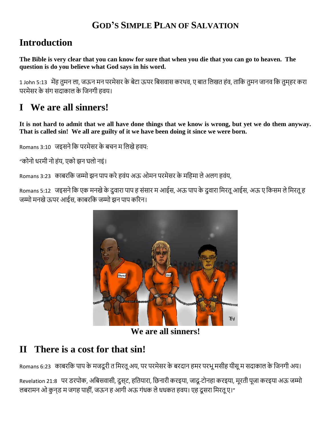#### **GOD'S SIMPLE PLAN OF SALVATION**

#### **Introduction**

**The Bible is very clear that you can know for sure that when you die that you can go to heaven. The question is do you believe what God says in his word.**

1 John 5:13 मेंह तुमन ला, जऊन मन परमेसर के बेटा ऊपर बबसवास करथव, ए बात बलखत हंव, ताबक तुमन जानव बक तुम्हर करा परमेसर के संग सदाकाल के जिनगी हवय।

# **I We are all sinners!**

**It is not hard to admit that we all have done things that we know is wrong, but yet we do them anyway. That is called sin! We all are guilty of it we have been doing it since we were born.**

Romans 3:10 जइसने कि परमेसर के बचन म लिखे हवय:

"कोनो धरमी नो हंय, एको झन घलो नइं।

Romans 3:23 काबरकि जम्मो झन पाप करे हवंय अऊ ओमन परमेसर के महिमा ले अलग हवंय,

Romans 5:12 जइसने कि एक मनखे के दुवारा पाप ह संसार म आईस, अऊ पाप के दुवारा मिरतू आईस, अऊ ए किसम ले मिरतू ह जम्मो मनखेऊपर आईस, काबरबक जम्मो झन पाप कररन।



**We are all sinners!**

# **II There is a cost for that sin!**

Romans 6:23 काबरकि पाप के मजदूरी त मिरतू अय, पर परमेसर के बरदान हमर परभू मसीह यीसू म सदाकाल के जिनगी अय।

Revelation 21:8 पर डरपोक, अबबसवासी, दुस्ट, हबतयारा, बिनारी करइया, जादू-टोनहा करइया, मूरती पूजा करइया अऊ जम्मो लबरामन ओ कुनड म जगह पाहीं, जऊन ह आगी अऊ गंधक ले धधकत हवय। एह दूसरा मिरतू ए।"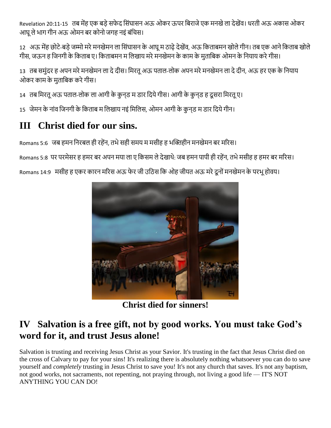Revelation 20:11-15 तब मेंह एक बड़े सफेद सिंघासन अऊ ओकर ऊपर बिराजे एक मनखे ला देखेंव। धरती अऊ अकास ओकर आघूलेभाग गीन अऊ ओमन बर कोनो जगह नइं बंबचस।

12 अऊ मेंह छोटे-बड़े जम्मो मरे मनखेमन ला सिंघासन के आघू म ठाढ़े देखेंव, अऊ किताबमन खोले गीन। तब एक आने किताब खोले गीस, जऊन ह जिनगी के किताब ए। किताबमन म लिखाय मरे मनखेमन के काम के मुताबिक ओमन के नियाय करे गीस।

13) तब समुंदर ह अपन मरे मनखेमन ला दे दीस। मिरतू अऊ पताल-लोक अपन मरे मनखेमन ला दे दीन, अऊ हर एक के नियाय ओकर काम के मुताबबक करेगीस।

14) तब मिरतू अऊ पताल-लोक ला आगी के कुन्ड म डार दिये गीस। आगी के कुन्ड ह दूसरा मिरतू ए।

15) जेमन के नांव जिनगी के किताब म लिखाय नइं मिलिस, ओमन आगी के कुनुड म डार दिये गीन।

# **III Christ died for our sins.**

Romans 5:6 जब हमन बनरबल ही रहेंन, तभेसही समय म मसीह ह भक्तिहीन मनखेमन बर मररस।

Romans 5:8 पर परमेसर ह हमर बर अपन मया ला ए बकसम लेदेखाथे: जब हमन पापी ही रहेंन, तभेमसीह ह हमर बर मररस।

Romans 14:9 मसीह ह एकर कारन मरिस अऊ फेर जी उठिस कि ओह जीयत अऊ मरे दूनों मनखेमन के परभू होवय।



**Christ died for sinners!**

#### **IV Salvation is a free gift, not by good works. You must take God's word for it, and trust Jesus alone!**

Salvation is trusting and receiving Jesus Christ as your Savior. It's trusting in the fact that Jesus Christ died on the cross of Calvary to pay for your sins! It's realizing there is absolutely nothing whatsoever you can do to save yourself and *completely* trusting in Jesus Christ to save you! It's not any church that saves. It's not any baptism, not good works, not sacraments, not repenting, not praying through, not living a good life — IT'S NOT ANYTHING YOU CAN DO!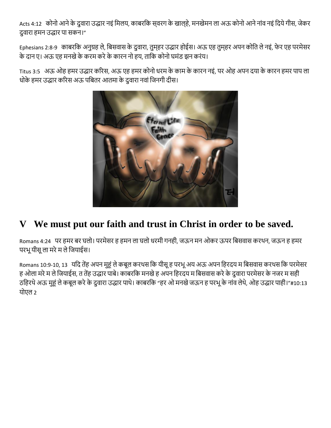Acts 4:12 कोनो आने के दुवारा उद्धार नइं मिलय, काबरकि स्**वरग के खाल्**हे, मनखेमन ला अऊ कोनो आने नांव नइं दिये गीस, जेकर दुवारा हमन उद्धार पा सकन।"

Ephesians 2:8-9) काबरकि अनुग्रह ले, बिसवास के दुवारा, तुमहर उद्धार होईस। अऊ एह तुमहर अपन कोति ले नइं, फेर एह परमेसर के दान ए। अऊ एह मनखेके करम करेके कारन नो हय, ताबक कोनो घमंड झन करंय।

Titus 3:5 अऊ ओह हमर उद्धार कररस, अऊ एह हमर कोनो धरम के काम के कारन नइं, पर ओह अपन दया के कारन हमर पाप ला धोके हमर उद्धार करिस अऊ पबितर आतमा के दुवारा नवां जिनगी दीस।



# **V We must put our faith and trust in Christ in order to be saved.**

Romans 4:24 पर हमर बर घलो। परमेसर ह हमन ला घलो धरमी गनही, जऊन मन ओकर ऊपर बबसवास करथन, जऊन ह हमर परभूयीसूला मरेम लेबजयाईस।

Romans 10:9-10, 13 यदि तेंह अपन मुहं ले कबूल करथस कि यीसू ह परभू अय अऊ अपन हिरदय म बिसवास करथस कि परमेसर ह ओला मरे म ले जियाईस, त तेंह उद्धार पाबे। काबरकि मनखे ह अपन हिरदय म बिसवास करे के दुवारा परमेसर के नजर म सही ठहिरथे अऊ मुहं ले कबूल करे के दुवारा उद्धार पाथे। काबरकि "हर ओ मनखे जऊन ह परभू के नांव लेथे, ओह उद्धार पाही।"#10:13 योएल 2